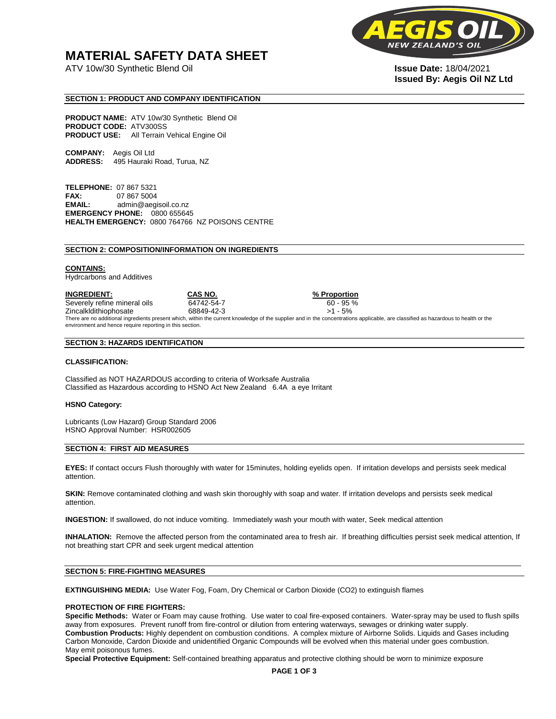## **MATERIAL SAFETY DATA SHEET**

ATV 10w/30 Synthetic Blend Oil **Issue Date:** 18/04/2021



# **Issued By: Aegis Oil NZ Ltd**

#### **SECTION 1: PRODUCT AND COMPANY IDENTIFICATION**

**PRODUCT NAME:** ATV 10w/30 Synthetic Blend Oil **PRODUCT CODE:** ATV300SS **PRODUCT USE:** All Terrain Vehical Engine Oil

**COMPANY:** Aegis Oil Ltd **ADDRESS:** 495 Hauraki Road, Turua, NZ

**TELEPHONE:** 07 867 5321 **FAX:** 07 867 5004 **EMAIL:** admin@aegisoil.co.nz **EMERGENCY PHONE:** 0800 655645 **HEALTH EMERGENCY:** 0800 764766 NZ POISONS CENTRE

#### **SECTION 2: COMPOSITION/INFORMATION ON INGREDIENTS**

#### **CONTAINS:**

Hydrcarbons and Additives

**INGREDIENT: CAS NO. % Proportion**  Severely refine mineral oils 64742-54-7 60 - 95 % Zincalkldithiophosate 68849-42-3 >1 - 5% There are no additional ingredients present which, within the current knowledge of the supplier and in the concentrations applicable, are classified as hazardous to health or the environment and hence require reporting in this section.

#### **SECTION 3: HAZARDS IDENTIFICATION**

#### **CLASSIFICATION:**

Classified as NOT HAZARDOUS according to criteria of Worksafe Australia Classified as Hazardous according to HSNO Act New Zealand 6.4A a eye Irritant

#### **HSNO Category:**

Lubricants (Low Hazard) Group Standard 2006 HSNO Approval Number: HSR002605

#### **SECTION 4: FIRST AID MEASURES**

**EYES:** If contact occurs Flush thoroughly with water for 15minutes, holding eyelids open. If irritation develops and persists seek medical attention.

**SKIN:** Remove contaminated clothing and wash skin thoroughly with soap and water. If irritation develops and persists seek medical attention.

**INGESTION:** If swallowed, do not induce vomiting. Immediately wash your mouth with water, Seek medical attention

**INHALATION:** Remove the affected person from the contaminated area to fresh air. If breathing difficulties persist seek medical attention, If not breathing start CPR and seek urgent medical attention

#### **SECTION 5: FIRE-FIGHTING MEASURES**

**EXTINGUISHING MEDIA:** Use Water Fog, Foam, Dry Chemical or Carbon Dioxide (CO2) to extinguish flames

#### **PROTECTION OF FIRE FIGHTERS:**

**Specific Methods:** Water or Foam may cause frothing. Use water to coal fire-exposed containers. Water-spray may be used to flush spills away from exposures. Prevent runoff from fire-control or dilution from entering waterways, sewages or drinking water supply. **Combustion Products:** Highly dependent on combustion conditions. A complex mixture of Airborne Solids. Liquids and Gases including Carbon Monoxide, Cardon Dioxide and unidentified Organic Compounds will be evolved when this material under goes combustion. May emit poisonous fumes.

**Special Protective Equipment:** Self-contained breathing apparatus and protective clothing should be worn to minimize exposure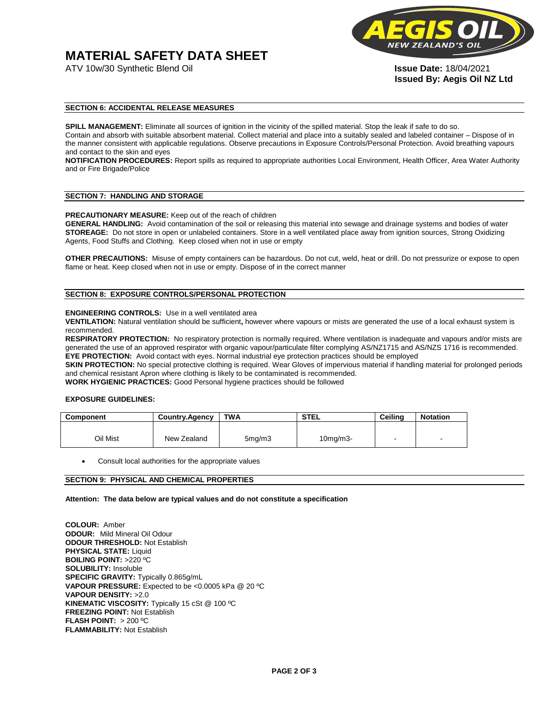# **MATERIAL SAFETY DATA SHEET**



**Issued By: Aegis Oil NZ Ltd** 

#### **SECTION 6: ACCIDENTAL RELEASE MEASURES**

**SPILL MANAGEMENT:** Eliminate all sources of ignition in the vicinity of the spilled material. Stop the leak if safe to do so. Contain and absorb with suitable absorbent material. Collect material and place into a suitably sealed and labeled container – Dispose of in the manner consistent with applicable regulations. Observe precautions in Exposure Controls/Personal Protection. Avoid breathing vapours and contact to the skin and eyes

**NOTIFICATION PROCEDURES:** Report spills as required to appropriate authorities Local Environment, Health Officer, Area Water Authority and or Fire Brigade/Police

#### **SECTION 7: HANDLING AND STORAGE**

**PRECAUTIONARY MEASURE:** Keep out of the reach of children

**GENERAL HANDLING:** Avoid contamination of the soil or releasing this material into sewage and drainage systems and bodies of water **STOREAGE:** Do not store in open or unlabeled containers. Store in a well ventilated place away from ignition sources, Strong Oxidizing Agents, Food Stuffs and Clothing. Keep closed when not in use or empty

**OTHER PRECAUTIONS:** Misuse of empty containers can be hazardous. Do not cut, weld, heat or drill. Do not pressurize or expose to open flame or heat. Keep closed when not in use or empty. Dispose of in the correct manner

#### **SECTION 8: EXPOSURE CONTROLS/PERSONAL PROTECTION**

#### **ENGINEERING CONTROLS:** Use in a well ventilated area

**VENTILATION:** Natural ventilation should be sufficient**,** however where vapours or mists are generated the use of a local exhaust system is recommended.

**RESPIRATORY PROTECTION:** No respiratory protection is normally required. Where ventilation is inadequate and vapours and/or mists are generated the use of an approved respirator with organic vapour/particulate filter complying AS/NZ1715 and AS/NZS 1716 is recommended. **EYE PROTECTION:** Avoid contact with eyes. Normal industrial eye protection practices should be employed

**SKIN PROTECTION:** No special protective clothing is required. Wear Gloves of impervious material if handling material for prolonged periods and chemical resistant Apron where clothing is likely to be contaminated is recommended.

**WORK HYGIENIC PRACTICES:** Good Personal hygiene practices should be followed

#### **EXPOSURE GUIDELINES:**

| <b>Component</b> | <b>Country.Agency</b> | <b>TWA</b>          | <b>STEL</b>    | Ceilina | <b>Notation</b>          |
|------------------|-----------------------|---------------------|----------------|---------|--------------------------|
|                  |                       |                     |                |         |                          |
| Oil Mist         | New Zealand           | 5 <sub>mq</sub> /m3 | $10$ mg/m $3-$ |         | $\overline{\phantom{a}}$ |

Consult local authorities for the appropriate values

#### **SECTION 9: PHYSICAL AND CHEMICAL PROPERTIES**

**Attention: The data below are typical values and do not constitute a specification** 

**COLOUR:** Amber **ODOUR:** Mild Mineral Oil Odour **ODOUR THRESHOLD:** Not Establish **PHYSICAL STATE:** Liquid **BOILING POINT:** >220 ºC **SOLUBILITY:** Insoluble **SPECIFIC GRAVITY:** Typically 0.865g/mL **VAPOUR PRESSURE:** Expected to be <0.0005 kPa @ 20 ºC **VAPOUR DENSITY:** >2.0 **KINEMATIC VISCOSITY:** Typically 15 cSt @ 100 ºC **FREEZING POINT: Not Establish FLASH POINT:** > 200 ºC **FLAMMABILITY:** Not Establish